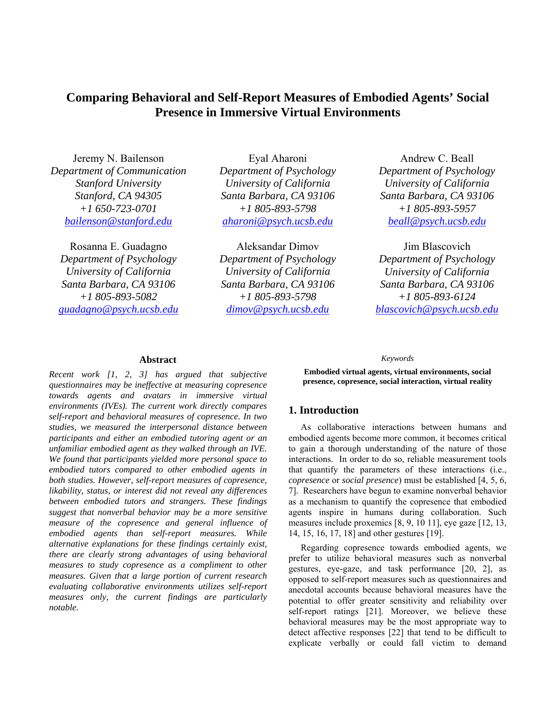# **Comparing Behavioral and Self-Report Measures of Embodied Agents' Social Presence in Immersive Virtual Environments**

Jeremy N. Bailenson *Department of Communication Stanford University Stanford, CA 94305 +1 650-723-0701 bailenson@stanford.edu* 

Rosanna E. Guadagno *Department of Psychology University of California Santa Barbara, CA 93106 +1 805-893-5082 guadagno@psych.ucsb.edu* 

Eyal Aharoni *Department of Psychology University of California Santa Barbara, CA 93106 +1 805-893-5798 aharoni@psych.ucsb.edu*

Aleksandar Dimov *Department of Psychology University of California Santa Barbara, CA 93106 +1 805-893-5798 dimov@psych.ucsb.edu*

Andrew C. Beall *Department of Psychology University of California Santa Barbara, CA 93106 +1 805-893-5957 beall@psych.ucsb.edu* 

Jim Blascovich *Department of Psychology University of California Santa Barbara, CA 93106 +1 805-893-6124 blascovich@psych.ucsb.edu* 

#### **Abstract**

*Recent work [1, 2, 3] has argued that subjective questionnaires may be ineffective at measuring copresence towards agents and avatars in immersive virtual environments (IVEs). The current work directly compares self-report and behavioral measures of copresence. In two studies, we measured the interpersonal distance between participants and either an embodied tutoring agent or an unfamiliar embodied agent as they walked through an IVE. We found that participants yielded more personal space to embodied tutors compared to other embodied agents in both studies. However, self-report measures of copresence, likability, status, or interest did not reveal any differences between embodied tutors and strangers. These findings suggest that nonverbal behavior may be a more sensitive measure of the copresence and general influence of embodied agents than self-report measures. While alternative explanations for these findings certainly exist, there are clearly strong advantages of using behavioral measures to study copresence as a compliment to other measures. Given that a large portion of current research evaluating collaborative environments utilizes self-report measures only, the current findings are particularly notable.* 

*Keywords* 

**Embodied virtual agents, virtual environments, social presence, copresence, social interaction, virtual reality** 

## **1. Introduction**

As collaborative interactions between humans and embodied agents become more common, it becomes critical to gain a thorough understanding of the nature of those interactions. In order to do so, reliable measurement tools that quantify the parameters of these interactions (i.e., *copresence* or *social presence*) must be established [4, 5, 6, 7]. Researchers have begun to examine nonverbal behavior as a mechanism to quantify the copresence that embodied agents inspire in humans during collaboration. Such measures include proxemics [8, 9, 10 11], eye gaze [12, 13, 14, 15, 16, 17, 18] and other gestures [19].

Regarding copresence towards embodied agents, we prefer to utilize behavioral measures such as nonverbal gestures, eye-gaze, and task performance [20, 2], as opposed to self-report measures such as questionnaires and anecdotal accounts because behavioral measures have the potential to offer greater sensitivity and reliability over self-report ratings [21]. Moreover, we believe these behavioral measures may be the most appropriate way to detect affective responses [22] that tend to be difficult to explicate verbally or could fall victim to demand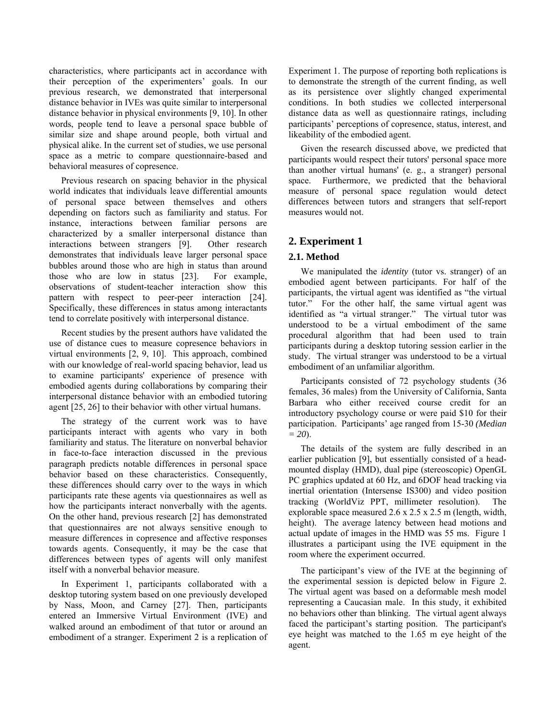characteristics, where participants act in accordance with their perception of the experimenters' goals. In our previous research, we demonstrated that interpersonal distance behavior in IVEs was quite similar to interpersonal distance behavior in physical environments [9, 10]. In other words, people tend to leave a personal space bubble of similar size and shape around people, both virtual and physical alike. In the current set of studies, we use personal space as a metric to compare questionnaire-based and behavioral measures of copresence.

Previous research on spacing behavior in the physical world indicates that individuals leave differential amounts of personal space between themselves and others depending on factors such as familiarity and status. For instance, interactions between familiar persons are characterized by a smaller interpersonal distance than interactions between strangers [9]. Other research demonstrates that individuals leave larger personal space bubbles around those who are high in status than around those who are low in status [23]. For example, observations of student-teacher interaction show this pattern with respect to peer-peer interaction [24]. Specifically, these differences in status among interactants tend to correlate positively with interpersonal distance.

Recent studies by the present authors have validated the use of distance cues to measure copresence behaviors in virtual environments [2, 9, 10]. This approach, combined with our knowledge of real-world spacing behavior, lead us to examine participants' experience of presence with embodied agents during collaborations by comparing their interpersonal distance behavior with an embodied tutoring agent [25, 26] to their behavior with other virtual humans.

The strategy of the current work was to have participants interact with agents who vary in both familiarity and status. The literature on nonverbal behavior in face-to-face interaction discussed in the previous paragraph predicts notable differences in personal space behavior based on these characteristics. Consequently, these differences should carry over to the ways in which participants rate these agents via questionnaires as well as how the participants interact nonverbally with the agents. On the other hand, previous research [2] has demonstrated that questionnaires are not always sensitive enough to measure differences in copresence and affective responses towards agents. Consequently, it may be the case that differences between types of agents will only manifest itself with a nonverbal behavior measure.

In Experiment 1, participants collaborated with a desktop tutoring system based on one previously developed by Nass, Moon, and Carney [27]. Then, participants entered an Immersive Virtual Environment (IVE) and walked around an embodiment of that tutor or around an embodiment of a stranger. Experiment 2 is a replication of

Experiment 1. The purpose of reporting both replications is to demonstrate the strength of the current finding, as well as its persistence over slightly changed experimental conditions. In both studies we collected interpersonal distance data as well as questionnaire ratings, including participants' perceptions of copresence, status, interest, and likeability of the embodied agent.

Given the research discussed above, we predicted that participants would respect their tutors' personal space more than another virtual humans' (e. g., a stranger) personal space. Furthermore, we predicted that the behavioral measure of personal space regulation would detect differences between tutors and strangers that self-report measures would not.

## **2. Experiment 1**

## **2.1. Method**

We manipulated the *identity* (tutor vs. stranger) of an embodied agent between participants. For half of the participants, the virtual agent was identified as "the virtual tutor." For the other half, the same virtual agent was identified as "a virtual stranger." The virtual tutor was understood to be a virtual embodiment of the same procedural algorithm that had been used to train participants during a desktop tutoring session earlier in the study. The virtual stranger was understood to be a virtual embodiment of an unfamiliar algorithm.

 Participants consisted of 72 psychology students (36 females, 36 males) from the University of California, Santa Barbara who either received course credit for an introductory psychology course or were paid \$10 for their participation. Participants' age ranged from 15-30 *(Median = 20*).

The details of the system are fully described in an earlier publication [9], but essentially consisted of a headmounted display (HMD), dual pipe (stereoscopic) OpenGL PC graphics updated at 60 Hz, and 6DOF head tracking via inertial orientation (Intersense IS300) and video position tracking (WorldViz PPT, millimeter resolution). The explorable space measured 2.6 x 2.5 x 2.5 m (length, width, height). The average latency between head motions and actual update of images in the HMD was 55 ms. Figure 1 illustrates a participant using the IVE equipment in the room where the experiment occurred.

The participant's view of the IVE at the beginning of the experimental session is depicted below in Figure 2. The virtual agent was based on a deformable mesh model representing a Caucasian male. In this study, it exhibited no behaviors other than blinking. The virtual agent always faced the participant's starting position. The participant's eye height was matched to the 1.65 m eye height of the agent.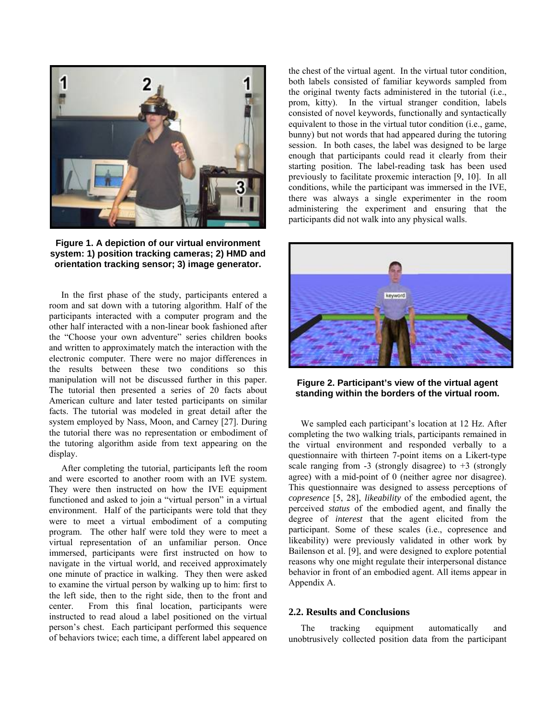

**Figure 1. A depiction of our virtual environment system: 1) position tracking cameras; 2) HMD and orientation tracking sensor; 3) image generator.** 

 In the first phase of the study, participants entered a room and sat down with a tutoring algorithm. Half of the participants interacted with a computer program and the other half interacted with a non-linear book fashioned after the "Choose your own adventure" series children books and written to approximately match the interaction with the electronic computer. There were no major differences in the results between these two conditions so this manipulation will not be discussed further in this paper. The tutorial then presented a series of 20 facts about American culture and later tested participants on similar facts. The tutorial was modeled in great detail after the system employed by Nass, Moon, and Carney [27]. During the tutorial there was no representation or embodiment of the tutoring algorithm aside from text appearing on the display.

After completing the tutorial, participants left the room and were escorted to another room with an IVE system. They were then instructed on how the IVE equipment functioned and asked to join a "virtual person" in a virtual environment. Half of the participants were told that they were to meet a virtual embodiment of a computing program. The other half were told they were to meet a virtual representation of an unfamiliar person. Once immersed, participants were first instructed on how to navigate in the virtual world, and received approximately one minute of practice in walking. They then were asked to examine the virtual person by walking up to him: first to the left side, then to the right side, then to the front and center. From this final location, participants were instructed to read aloud a label positioned on the virtual person's chest. Each participant performed this sequence of behaviors twice; each time, a different label appeared on the chest of the virtual agent. In the virtual tutor condition, both labels consisted of familiar keywords sampled from the original twenty facts administered in the tutorial (i.e., prom, kitty). In the virtual stranger condition, labels consisted of novel keywords, functionally and syntactically equivalent to those in the virtual tutor condition (i.e., game, bunny) but not words that had appeared during the tutoring session. In both cases, the label was designed to be large enough that participants could read it clearly from their starting position. The label-reading task has been used previously to facilitate proxemic interaction [9, 10]. In all conditions, while the participant was immersed in the IVE, there was always a single experimenter in the room administering the experiment and ensuring that the participants did not walk into any physical walls.



**Figure 2. Participant's view of the virtual agent standing within the borders of the virtual room.** 

 We sampled each participant's location at 12 Hz. After completing the two walking trials, participants remained in the virtual environment and responded verbally to a questionnaire with thirteen 7-point items on a Likert-type scale ranging from  $-3$  (strongly disagree) to  $+3$  (strongly agree) with a mid-point of 0 (neither agree nor disagree). This questionnaire was designed to assess perceptions of *copresence* [5, 28], *likeability* of the embodied agent, the perceived *status* of the embodied agent, and finally the degree of *interest* that the agent elicited from the participant. Some of these scales (i.e., copresence and likeability) were previously validated in other work by Bailenson et al. [9], and were designed to explore potential reasons why one might regulate their interpersonal distance behavior in front of an embodied agent. All items appear in Appendix A.

#### **2.2. Results and Conclusions**

 The tracking equipment automatically and unobtrusively collected position data from the participant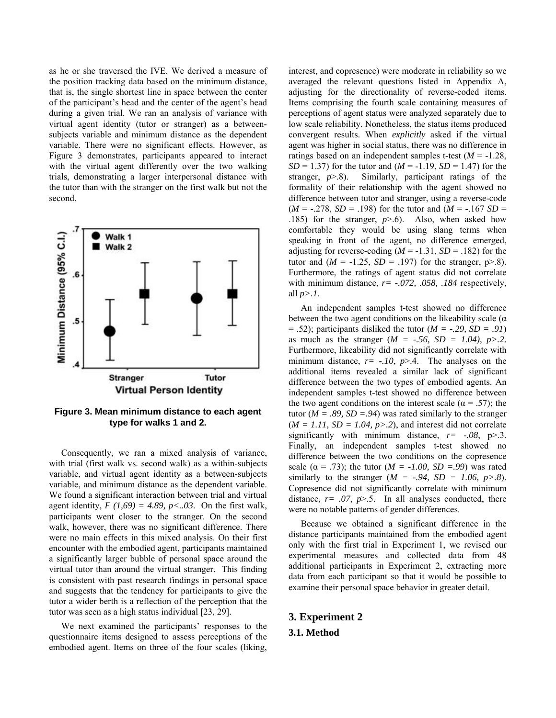as he or she traversed the IVE. We derived a measure of the position tracking data based on the minimum distance, that is, the single shortest line in space between the center of the participant's head and the center of the agent's head during a given trial. We ran an analysis of variance with virtual agent identity (tutor or stranger) as a betweensubjects variable and minimum distance as the dependent variable. There were no significant effects. However, as Figure 3 demonstrates, participants appeared to interact with the virtual agent differently over the two walking trials, demonstrating a larger interpersonal distance with the tutor than with the stranger on the first walk but not the second.



**Figure 3. Mean minimum distance to each agent type for walks 1 and 2.** 

 Consequently, we ran a mixed analysis of variance, with trial (first walk vs. second walk) as a within-subjects variable, and virtual agent identity as a between-subjects variable, and minimum distance as the dependent variable. We found a significant interaction between trial and virtual agent identity,  $F(1,69) = 4.89$ ,  $p \lt 0.03$ . On the first walk, participants went closer to the stranger. On the second walk, however, there was no significant difference. There were no main effects in this mixed analysis. On their first encounter with the embodied agent, participants maintained a significantly larger bubble of personal space around the virtual tutor than around the virtual stranger. This finding is consistent with past research findings in personal space and suggests that the tendency for participants to give the tutor a wider berth is a reflection of the perception that the tutor was seen as a high status individual [23, 29].

 We next examined the participants' responses to the questionnaire items designed to assess perceptions of the embodied agent. Items on three of the four scales (liking,

interest, and copresence) were moderate in reliability so we averaged the relevant questions listed in Appendix A, adjusting for the directionality of reverse-coded items. Items comprising the fourth scale containing measures of perceptions of agent status were analyzed separately due to low scale reliability. Nonetheless, the status items produced convergent results. When *explicitly* asked if the virtual agent was higher in social status, there was no difference in ratings based on an independent samples t-test  $(M = -1.28$ , *SD* = 1.37) for the tutor and  $(M = -1.19, SD = 1.47)$  for the stranger, *p*>.8). Similarly, participant ratings of the formality of their relationship with the agent showed no difference between tutor and stranger, using a reverse-code  $(M = -.278, SD = .198)$  for the tutor and  $(M = -.167, SD =$ .185) for the stranger, *p*>.6). Also, when asked how comfortable they would be using slang terms when speaking in front of the agent, no difference emerged, adjusting for reverse-coding  $(M = -1.31, SD = .182)$  for the tutor and  $(M = -1.25, SD = .197)$  for the stranger, p>.8). Furthermore, the ratings of agent status did not correlate with minimum distance, *r= -.072, .058, .184* respectively, all *p>.1*.

 An independent samples t-test showed no difference between the two agent conditions on the likeability scale ( $\alpha$ )  $=$  .52); participants disliked the tutor ( $M = -.29$ ,  $SD = .91$ ) as much as the stranger  $(M = -.56, SD = 1.04), p > .2$ . Furthermore, likeability did not significantly correlate with minimum distance,  $r = -.10$ ,  $p > .4$ . The analyses on the additional items revealed a similar lack of significant difference between the two types of embodied agents. An independent samples t-test showed no difference between the two agent conditions on the interest scale ( $\alpha$  = .57); the tutor ( $M = .89$ ,  $SD = .94$ ) was rated similarly to the stranger  $(M = 1.11, SD = 1.04, p > 0.2)$ , and interest did not correlate significantly with minimum distance,  $r = -.08$ ,  $p > .3$ . Finally, an independent samples t-test showed no difference between the two conditions on the copresence scale ( $\alpha$  = .73); the tutor ( $M = -1.00$ ,  $SD = .99$ ) was rated similarly to the stranger  $(M = -.94, SD = 1.06, p > .8)$ . Copresence did not significantly correlate with minimum distance,  $r = .07$ ,  $p > .5$ . In all analyses conducted, there were no notable patterns of gender differences.

 Because we obtained a significant difference in the distance participants maintained from the embodied agent only with the first trial in Experiment 1, we revised our experimental measures and collected data from 48 additional participants in Experiment 2, extracting more data from each participant so that it would be possible to examine their personal space behavior in greater detail.

# **3. Experiment 2**

# **3.1. Method**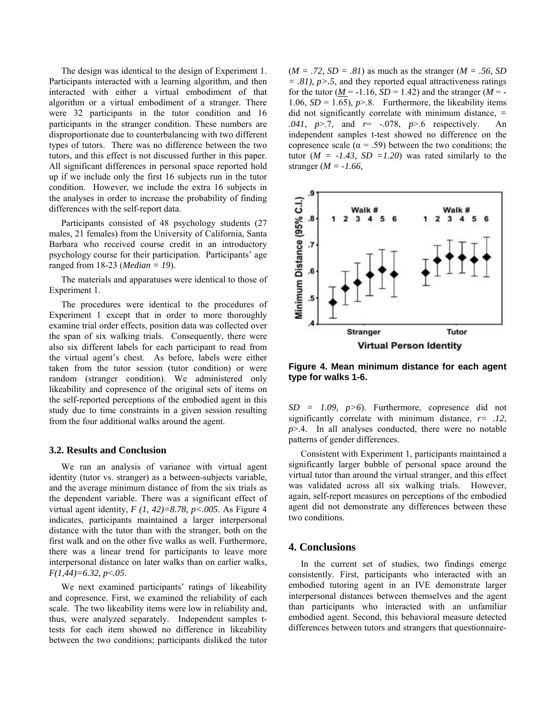The design was identical to the design of Experiment 1. Participants interacted with a learning algorithm, and then interacted with either a virtual embodiment of that algorithm or a virtual embodiment of a stranger. There were 32 participants in the tutor condition and 16 participants in the stranger condition. These numbers are disproportionate due to counterbalancing with two different types of tutors. There was no difference between the two tutors, and this effect is not discussed further in this paper. All significant differences in personal space reported hold up if we include only the first 16 subjects run in the tutor condition. However, we include the extra 16 subjects in the analyses in order to increase the probability of finding differences with the self-report data.

 Participants consisted of 48 psychology students (27 males, 21 females) from the University of California, Santa Barbara who received course credit in an introductory psychology course for their participation. Participants' age ranged from 18-23 (*Median = 19*).

The materials and apparatuses were identical to those of Experiment 1.

The procedures were identical to the procedures of Experiment 1 except that in order to more thoroughly examine trial order effects, position data was collected over the span of six walking trials. Consequently, there were also six different labels for each participant to read from the virtual agent's chest. As before, labels were either taken from the tutor session (tutor condition) or were random (stranger condition). We administered only likeability and copresence of the original sets of items on the self-reported perceptions of the embodied agent in this study due to time constraints in a given session resulting from the four additional walks around the agent.

#### **3.2. Results and Conclusion**

We ran an analysis of variance with virtual agent identity (tutor vs. stranger) as a between-subjects variable, and the average minimum distance of from the six trials as the dependent variable. There was a significant effect of virtual agent identity,  $F(1, 42)=8.78$ ,  $p<.005$ . As Figure 4 indicates, participants maintained a larger interpersonal distance with the tutor than with the stranger, both on the first walk and on the other five walks as well. Furthermore, there was a linear trend for participants to leave more interpersonal distance on later walks than on earlier walks, *F(1,44)=6.32, p*<*.05*.

We next examined participants' ratings of likeability and copresence. First, we examined the reliability of each scale. The two likeability items were low in reliability and, thus, were analyzed separately. Independent samples ttests for each item showed no difference in likeability between the two conditions; participants disliked the tutor  $(M = .72, SD = .81)$  as much as the stranger  $(M = .56, SD)$ *= .81), p>.5*, and they reported equal attractiveness ratings for the tutor ( $M = -1.16$ ,  $SD = 1.42$ ) and the stranger ( $M = -1$ 1.06,  $SD = 1.65$ ),  $p > 8$ . Furthermore, the likeability items did not significantly correlate with minimum distance, *= .041*,  $p > 7$ , and  $r = -0.078$ ,  $p > 6$  respectively. An independent samples t-test showed no difference on the copresence scale ( $\alpha$  = .59) between the two conditions; the tutor  $(M = -1.43, SD = 1.20)$  was rated similarly to the stranger (*M = -1.66,* 



**Figure 4. Mean minimum distance for each agent type for walks 1-6.** 

*SD = 1.09, p>6*). Furthermore, copresence did not significantly correlate with minimum distance, *r= .12*, *p*>.4. In all analyses conducted, there were no notable patterns of gender differences.

Consistent with Experiment 1, participants maintained a significantly larger bubble of personal space around the virtual tutor than around the virtual stranger, and this effect was validated across all six walking trials. However, again, self-report measures on perceptions of the embodied agent did not demonstrate any differences between these two conditions.

#### **4. Conclusions**

In the current set of studies, two findings emerge consistently. First, participants who interacted with an embodied tutoring agent in an IVE demonstrate larger interpersonal distances between themselves and the agent than participants who interacted with an unfamiliar embodied agent. Second, this behavioral measure detected differences between tutors and strangers that questionnaire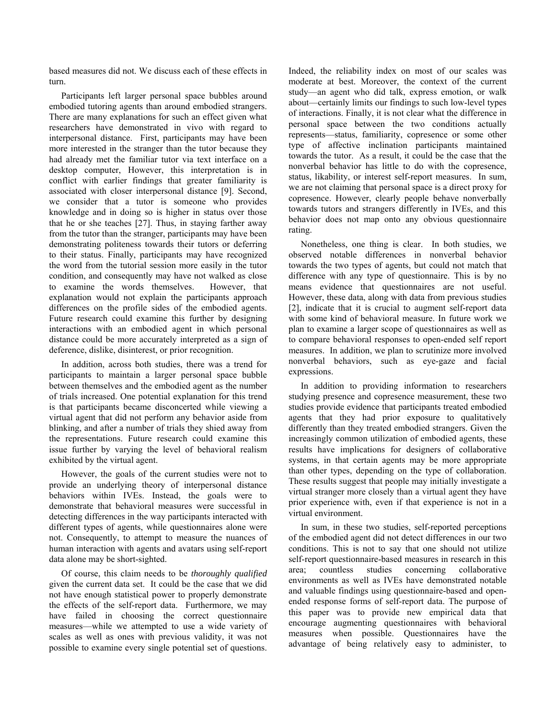based measures did not. We discuss each of these effects in turn.

 Participants left larger personal space bubbles around embodied tutoring agents than around embodied strangers. There are many explanations for such an effect given what researchers have demonstrated in vivo with regard to interpersonal distance. First, participants may have been more interested in the stranger than the tutor because they had already met the familiar tutor via text interface on a desktop computer, However, this interpretation is in conflict with earlier findings that greater familiarity is associated with closer interpersonal distance [9]. Second, we consider that a tutor is someone who provides knowledge and in doing so is higher in status over those that he or she teaches [27]. Thus, in staying farther away from the tutor than the stranger, participants may have been demonstrating politeness towards their tutors or deferring to their status. Finally, participants may have recognized the word from the tutorial session more easily in the tutor condition, and consequently may have not walked as close to examine the words themselves. However, that explanation would not explain the participants approach differences on the profile sides of the embodied agents. Future research could examine this further by designing interactions with an embodied agent in which personal distance could be more accurately interpreted as a sign of deference, dislike, disinterest, or prior recognition.

 In addition, across both studies, there was a trend for participants to maintain a larger personal space bubble between themselves and the embodied agent as the number of trials increased. One potential explanation for this trend is that participants became disconcerted while viewing a virtual agent that did not perform any behavior aside from blinking, and after a number of trials they shied away from the representations. Future research could examine this issue further by varying the level of behavioral realism exhibited by the virtual agent.

 However, the goals of the current studies were not to provide an underlying theory of interpersonal distance behaviors within IVEs. Instead, the goals were to demonstrate that behavioral measures were successful in detecting differences in the way participants interacted with different types of agents, while questionnaires alone were not. Consequently, to attempt to measure the nuances of human interaction with agents and avatars using self-report data alone may be short-sighted.

 Of course, this claim needs to be *thoroughly qualified* given the current data set. It could be the case that we did not have enough statistical power to properly demonstrate the effects of the self-report data. Furthermore, we may have failed in choosing the correct questionnaire measures—while we attempted to use a wide variety of scales as well as ones with previous validity, it was not possible to examine every single potential set of questions.

Indeed, the reliability index on most of our scales was moderate at best. Moreover, the context of the current study—an agent who did talk, express emotion, or walk about—certainly limits our findings to such low-level types of interactions. Finally, it is not clear what the difference in personal space between the two conditions actually represents—status, familiarity, copresence or some other type of affective inclination participants maintained towards the tutor. As a result, it could be the case that the nonverbal behavior has little to do with the copresence, status, likability, or interest self-report measures. In sum, we are not claiming that personal space is a direct proxy for copresence. However, clearly people behave nonverbally towards tutors and strangers differently in IVEs, and this behavior does not map onto any obvious questionnaire rating.

 Nonetheless, one thing is clear. In both studies, we observed notable differences in nonverbal behavior towards the two types of agents, but could not match that difference with any type of questionnaire. This is by no means evidence that questionnaires are not useful. However, these data, along with data from previous studies [2], indicate that it is crucial to augment self-report data with some kind of behavioral measure. In future work we plan to examine a larger scope of questionnaires as well as to compare behavioral responses to open-ended self report measures. In addition, we plan to scrutinize more involved nonverbal behaviors, such as eye-gaze and facial expressions.

 In addition to providing information to researchers studying presence and copresence measurement, these two studies provide evidence that participants treated embodied agents that they had prior exposure to qualitatively differently than they treated embodied strangers. Given the increasingly common utilization of embodied agents, these results have implications for designers of collaborative systems, in that certain agents may be more appropriate than other types, depending on the type of collaboration. These results suggest that people may initially investigate a virtual stranger more closely than a virtual agent they have prior experience with, even if that experience is not in a virtual environment.

 In sum, in these two studies, self-reported perceptions of the embodied agent did not detect differences in our two conditions. This is not to say that one should not utilize self-report questionnaire-based measures in research in this area; countless studies concerning collaborative environments as well as IVEs have demonstrated notable and valuable findings using questionnaire-based and openended response forms of self-report data. The purpose of this paper was to provide new empirical data that encourage augmenting questionnaires with behavioral measures when possible. Questionnaires have the advantage of being relatively easy to administer, to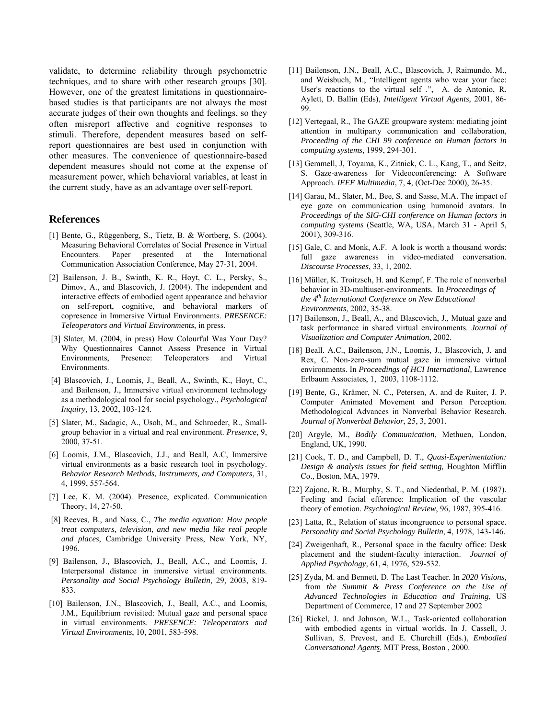validate, to determine reliability through psychometric techniques, and to share with other research groups [30]. However, one of the greatest limitations in questionnairebased studies is that participants are not always the most accurate judges of their own thoughts and feelings, so they often misreport affective and cognitive responses to stimuli. Therefore, dependent measures based on selfreport questionnaires are best used in conjunction with other measures. The convenience of questionnaire-based dependent measures should not come at the expense of measurement power, which behavioral variables, at least in the current study, have as an advantage over self-report.

#### **References**

- [1] Bente, G., Rüggenberg, S., Tietz, B. & Wortberg, S. (2004). Measuring Behavioral Correlates of Social Presence in Virtual Encounters. Paper presented at the International Communication Association Conference, May 27-31, 2004.
- [2] Bailenson, J. B., Swinth, K. R., Hoyt, C. L., Persky, S., Dimov, A., and Blascovich, J. (2004). The independent and interactive effects of embodied agent appearance and behavior on self-report, cognitive, and behavioral markers of copresence in Immersive Virtual Environments. *PRESENCE: Teleoperators and Virtual Environments*, in press.
- [3] Slater, M. (2004, in press) How Colourful Was Your Day? Why Questionnaires Cannot Assess Presence in Virtual Environments, Presence: Teleoperators and Virtual Environments.
- [4] Blascovich, J., Loomis, J., Beall, A., Swinth, K., Hoyt, C., and Bailenson, J., Immersive virtual environment technology as a methodological tool for social psychology., *Psychological Inquiry*, 13, 2002, 103-124.
- [5] Slater, M., Sadagic, A., Usoh, M., and Schroeder, R., Smallgroup behavior in a virtual and real environment. *Presence*, 9, 2000, 37-51.
- [6] Loomis, J.M., Blascovich, J.J., and Beall, A.C, Immersive virtual environments as a basic research tool in psychology. *Behavior Research Methods, Instruments, and Computers*, 31, 4, 1999, 557-564.
- [7] Lee, K. M. (2004). Presence, explicated. Communication Theory, 14, 27-50.
- [8] Reeves, B., and Nass, C., *The media equation: How people treat computers, television, and new media like real people and places*, Cambridge University Press, New York, NY, 1996.
- [9] Bailenson, J., Blascovich, J., Beall, A.C., and Loomis, J. Interpersonal distance in immersive virtual environments. *Personality and Social Psychology Bulletin,* 29*,* 2003, 819- 833.
- [10] Bailenson, J.N., Blascovich, J., Beall, A.C., and Loomis, J.M., Equilibrium revisited: Mutual gaze and personal space in virtual environments. *PRESENCE: Teleoperators and Virtual Environments*, 10, 2001, 583-598.
- [11] Bailenson, J.N., Beall, A.C., Blascovich, J, Raimundo, M., and Weisbuch, M., "Intelligent agents who wear your face: User's reactions to the virtual self .", A. de Antonio, R. Aylett, D. Ballin (Eds), *Intelligent Virtual Agents,* 2001, 86- 99.
- [12] Vertegaal, R., The GAZE groupware system: mediating joint attention in multiparty communication and collaboration, *Proceeding of the CHI 99 conference on Human factors in computing systems*, 1999, 294-301.
- [13] Gemmell, J, Toyama, K., Zitnick, C. L., Kang, T., and Seitz, S. Gaze-awareness for Videoconferencing: A Software Approach. *IEEE Multimedia*, 7, 4, (Oct-Dec 2000), 26-35.
- [14] Garau, M., Slater, M., Bee, S. and Sasse, M.A. The impact of eye gaze on communication using humanoid avatars. In *Proceedings of the SIG-CHI conference on Human factors in computing systems* (Seattle, WA, USA, March 31 - April 5, 2001), 309-316.
- [15] Gale, C. and Monk, A.F. A look is worth a thousand words: full gaze awareness in video-mediated conversation. *Discourse Processes*, 33, 1, 2002.
- [16] Müller, K. Troitzsch, H. and Kempf, F. The role of nonverbal behavior in 3D-multiuser-environments. In *Proceedings of the 4th International Conference on New Educational Environments*, 2002, 35-38.
- [17] Bailenson, J., Beall, A., and Blascovich, J., Mutual gaze and task performance in shared virtual environments. *Journal of Visualization and Computer Animation*, 2002.
- [18] Beall. A.C., Bailenson, J.N., Loomis, J., Blascovich, J. and Rex, C. Non-zero-sum mutual gaze in immersive virtual environments. In *Proceedings of HCI International,* Lawrence Erlbaum Associates, 1, 2003, 1108-1112.
- [19] Bente, G., Krämer, N. C., Petersen, A. and de Ruiter, J. P. Computer Animated Movement and Person Perception. Methodological Advances in Nonverbal Behavior Research. *Journal of Nonverbal Behavior*, 25, 3, 2001.
- [20] Argyle, M., *Bodily Communication*, Methuen, London, England, UK, 1990.
- [21] Cook, T. D., and Campbell, D. T., *Quasi-Experimentation: Design & analysis issues for field setting,* Houghton Mifflin Co., Boston, MA, 1979.
- [22] Zajonc, R. B., Murphy, S. T., and Niedenthal, P. M. (1987). Feeling and facial efference: Implication of the vascular theory of emotion. *Psychological Review*, 96, 1987, 395-416.
- [23] Latta, R., Relation of status incongruence to personal space. *Personality and Social Psychology Bulletin*, 4, 1978, 143-146.
- [24] Zweigenhaft, R., Personal space in the faculty office: Desk placement and the student-faculty interaction. *Journal of Applied Psychology*, 61, 4, 1976, 529-532.
- [25] Zyda, M. and Bennett, D. The Last Teacher. In *2020 Visions*, from *the Summit & Press Conference on the Use of Advanced Technologies in Education and Training*, US Department of Commerce, 17 and 27 September 2002
- [26] Rickel, J. and Johnson, W.L., Task-oriented collaboration with embodied agents in virtual worlds. In J. Cassell, J. Sullivan, S. Prevost, and E. Churchill (Eds.), *Embodied Conversational Agents*. MIT Press, Boston , 2000.